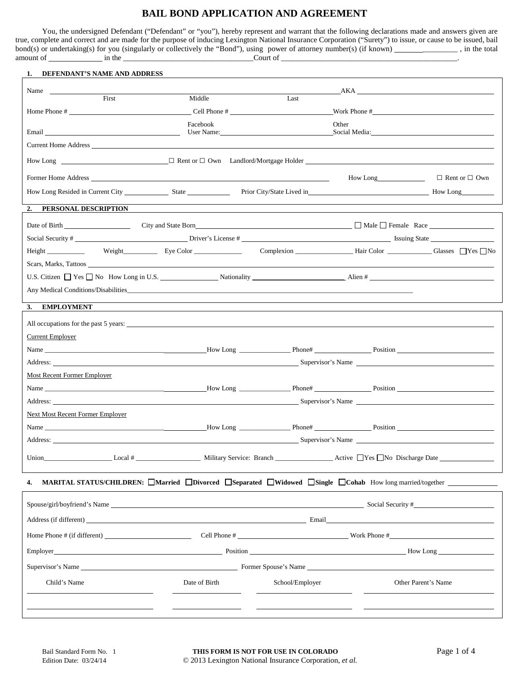# **BAIL BOND APPLICATION AND AGREEMENT**

You, the undersigned Defendant ("Defendant" or "you"), hereby represent and warrant that the following declarations made and answers given are true, complete and correct and are made for the purpose of inducing Lexington National Insurance Corporation ("Surety") to issue, or cause to be issued, bail bond(s) or undertaking(s) for you (singularly or collectively the "Bond"), using power of attorney number(s) (if known) \_\_\_\_\_\_\_\_\_ , in the total amount of in the \_\_\_\_\_\_\_\_\_\_\_\_\_\_\_\_\_\_\_\_\_\_\_\_\_\_\_\_\_\_\_\_\_\_Court of \_\_\_\_\_\_\_\_\_\_\_\_\_\_\_\_\_\_\_\_\_\_\_\_\_\_\_\_\_\_\_\_\_\_\_\_\_\_\_\_\_\_\_\_\_\_.

| 1. DEFENDANT'S NAME AND ADDRESS                                                                                                                                                                                                      |                                                                                                                                                                                                                                |                 |                                 |                           |
|--------------------------------------------------------------------------------------------------------------------------------------------------------------------------------------------------------------------------------------|--------------------------------------------------------------------------------------------------------------------------------------------------------------------------------------------------------------------------------|-----------------|---------------------------------|---------------------------|
| Name                                                                                                                                                                                                                                 |                                                                                                                                                                                                                                |                 | AKA                             |                           |
| First                                                                                                                                                                                                                                | Middle                                                                                                                                                                                                                         | Last            |                                 |                           |
|                                                                                                                                                                                                                                      |                                                                                                                                                                                                                                |                 |                                 |                           |
|                                                                                                                                                                                                                                      | Facebook                                                                                                                                                                                                                       |                 | Other                           |                           |
|                                                                                                                                                                                                                                      |                                                                                                                                                                                                                                | User Name:      | Social Media: The Social Media: |                           |
|                                                                                                                                                                                                                                      |                                                                                                                                                                                                                                |                 |                                 |                           |
|                                                                                                                                                                                                                                      |                                                                                                                                                                                                                                |                 |                                 |                           |
| Former Home Address <u>and the set of the set of the set of the set of the set of the set of the set of the set of the set of the set of the set of the set of the set of the set of the set of the set of the set of the set of</u> |                                                                                                                                                                                                                                |                 | How Long                        | $\Box$ Rent or $\Box$ Own |
|                                                                                                                                                                                                                                      |                                                                                                                                                                                                                                |                 |                                 |                           |
| 2. PERSONAL DESCRIPTION                                                                                                                                                                                                              |                                                                                                                                                                                                                                |                 |                                 |                           |
|                                                                                                                                                                                                                                      |                                                                                                                                                                                                                                |                 |                                 |                           |
|                                                                                                                                                                                                                                      | Date of Birth City and State Born City and State Born City and State Born City and State Born City and State Born City and State Born City and State Born City and State Born City and State Born City and State Born City and |                 |                                 |                           |
| Social Security # <u> Social Security # Channel School Security # Channel School Security # Channel School Security # Channel School Security # Channel School Security # Channel School Security # Channel School Security # Ch</u> |                                                                                                                                                                                                                                |                 |                                 |                           |
| Height No Weight No Eye Color Eve Color Complexion Hair Color Hair Color Glasses ■ Yes ■ No                                                                                                                                          |                                                                                                                                                                                                                                |                 |                                 |                           |
| Scars, Marks, Tattoos                                                                                                                                                                                                                |                                                                                                                                                                                                                                |                 |                                 |                           |
| U.S. Citizen $\Box$ Yes $\Box$ No How Long in U.S. $\Box$ Nationality $\Box$ Nationality $\Box$ Alien # $\Box$                                                                                                                       |                                                                                                                                                                                                                                |                 |                                 |                           |
|                                                                                                                                                                                                                                      |                                                                                                                                                                                                                                |                 |                                 |                           |
| <b>EMPLOYMENT</b><br>3.                                                                                                                                                                                                              |                                                                                                                                                                                                                                |                 |                                 |                           |
| All occupations for the past 5 years:                                                                                                                                                                                                |                                                                                                                                                                                                                                |                 |                                 |                           |
| Current Employer                                                                                                                                                                                                                     |                                                                                                                                                                                                                                |                 |                                 |                           |
|                                                                                                                                                                                                                                      |                                                                                                                                                                                                                                |                 |                                 |                           |
| Address: Supervisor's Name Supervisor's Name Supervisor's Name Supervisor's Name Supervisor's Name Supervisor's Name Supervisor's Name Supervisor's Name Supervisor's Name Supervisor's Name Supervisor's Name Supervisor's Na       |                                                                                                                                                                                                                                |                 |                                 |                           |
| Most Recent Former Employer                                                                                                                                                                                                          |                                                                                                                                                                                                                                |                 |                                 |                           |
|                                                                                                                                                                                                                                      |                                                                                                                                                                                                                                |                 |                                 |                           |
| Address: Supervisor's Name                                                                                                                                                                                                           |                                                                                                                                                                                                                                |                 |                                 |                           |
| <b>Next Most Recent Former Employer</b>                                                                                                                                                                                              |                                                                                                                                                                                                                                |                 |                                 |                           |
|                                                                                                                                                                                                                                      |                                                                                                                                                                                                                                |                 |                                 |                           |
| Address: Supervisor's Name Supervisor's Name Supervisor's Name Supervisor's Name Supervisor's Name Supervisor                                                                                                                        |                                                                                                                                                                                                                                |                 |                                 |                           |
|                                                                                                                                                                                                                                      |                                                                                                                                                                                                                                |                 |                                 |                           |
|                                                                                                                                                                                                                                      |                                                                                                                                                                                                                                |                 |                                 |                           |
| MARITAL STATUS/CHILDREN: Married Divorced Separated Widowed Single Cohab How long married/together<br>4.                                                                                                                             |                                                                                                                                                                                                                                |                 |                                 |                           |
|                                                                                                                                                                                                                                      |                                                                                                                                                                                                                                |                 |                                 | Social Security #         |
| Address (if different) Email                                                                                                                                                                                                         |                                                                                                                                                                                                                                |                 |                                 |                           |
|                                                                                                                                                                                                                                      |                                                                                                                                                                                                                                |                 |                                 |                           |
| Employer How Long How Long New Long                                                                                                                                                                                                  |                                                                                                                                                                                                                                |                 |                                 |                           |
|                                                                                                                                                                                                                                      |                                                                                                                                                                                                                                |                 |                                 |                           |
| Child's Name                                                                                                                                                                                                                         | Date of Birth                                                                                                                                                                                                                  | School/Employer |                                 | Other Parent's Name       |
|                                                                                                                                                                                                                                      |                                                                                                                                                                                                                                |                 |                                 |                           |
|                                                                                                                                                                                                                                      |                                                                                                                                                                                                                                |                 |                                 |                           |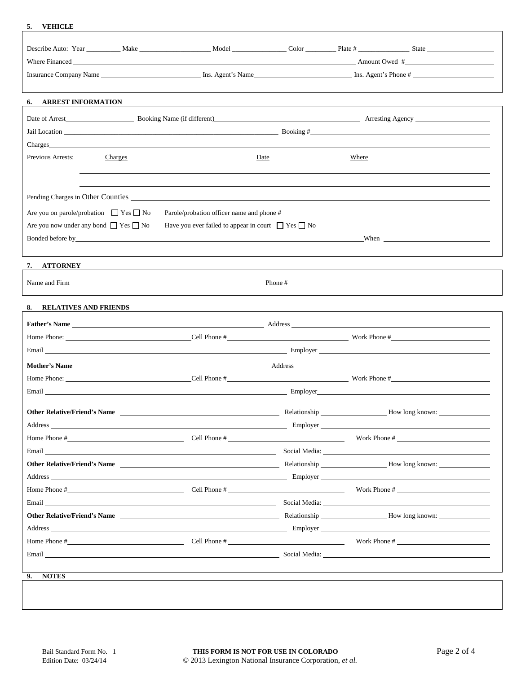#### **5. VEHICLE**

|                                                                                                                                                                                                                                                                                                       | Where Financed Amount Owed # Amount Owed # Amount Owed #                                                                                                                                                                                                                                                                                   |              |       |                 |  |  |
|-------------------------------------------------------------------------------------------------------------------------------------------------------------------------------------------------------------------------------------------------------------------------------------------------------|--------------------------------------------------------------------------------------------------------------------------------------------------------------------------------------------------------------------------------------------------------------------------------------------------------------------------------------------|--------------|-------|-----------------|--|--|
| 6. ARREST INFORMATION                                                                                                                                                                                                                                                                                 |                                                                                                                                                                                                                                                                                                                                            |              |       |                 |  |  |
| Date of Arrest Booking Name (if different) Reports Arresting Agency<br>Charges and the contract of the contract of the contract of the contract of the contract of the contract of the contract of the contract of the contract of the contract of the contract of the contract of the contract of th |                                                                                                                                                                                                                                                                                                                                            |              |       |                 |  |  |
| Previous Arrests:<br>Charges                                                                                                                                                                                                                                                                          |                                                                                                                                                                                                                                                                                                                                            | Date         | Where |                 |  |  |
| Are you on parole/probation $\Box$ Yes $\Box$ No<br>Are you now under any bond $\Box$ Yes $\Box$ No                                                                                                                                                                                                   | Parole/probation officer name and phone #<br>Have you ever failed to appear in court $\Box$ Yes $\Box$ No<br>Bonded before by the contract of the contract of the contract of the contract of the contract of the contract of the contract of the contract of the contract of the contract of the contract of the contract of the contract |              |       |                 |  |  |
| 7. ATTORNEY                                                                                                                                                                                                                                                                                           |                                                                                                                                                                                                                                                                                                                                            |              |       |                 |  |  |
|                                                                                                                                                                                                                                                                                                       | Name and Firm $\qquad \qquad$ $\qquad \qquad$ Phone #                                                                                                                                                                                                                                                                                      |              |       |                 |  |  |
| 8. RELATIVES AND FRIENDS                                                                                                                                                                                                                                                                              |                                                                                                                                                                                                                                                                                                                                            |              |       |                 |  |  |
|                                                                                                                                                                                                                                                                                                       |                                                                                                                                                                                                                                                                                                                                            |              |       |                 |  |  |
| Email Employer                                                                                                                                                                                                                                                                                        |                                                                                                                                                                                                                                                                                                                                            |              |       |                 |  |  |
|                                                                                                                                                                                                                                                                                                       |                                                                                                                                                                                                                                                                                                                                            |              |       |                 |  |  |
| Email Employer Contract Contract Contract Contract Contract Contract Contract Contract Contract Contract Contract Contract Contract Contract Contract Contract Contract Contract Contract Contract Contract Contract Contract                                                                         |                                                                                                                                                                                                                                                                                                                                            |              |       |                 |  |  |
| <b>Other Relative/Friend's Name</b><br>Address Employer                                                                                                                                                                                                                                               |                                                                                                                                                                                                                                                                                                                                            | Relationship |       | How long known: |  |  |
| Home Phone $\#$ Cell Phone $\#$ Cell Phone $\#$ Cell Phone $\#$ Cell Phone $\#$                                                                                                                                                                                                                       |                                                                                                                                                                                                                                                                                                                                            |              |       | Work Phone #    |  |  |
|                                                                                                                                                                                                                                                                                                       |                                                                                                                                                                                                                                                                                                                                            |              |       |                 |  |  |
|                                                                                                                                                                                                                                                                                                       |                                                                                                                                                                                                                                                                                                                                            |              |       |                 |  |  |
|                                                                                                                                                                                                                                                                                                       |                                                                                                                                                                                                                                                                                                                                            |              |       |                 |  |  |
| Email Social Media: Social Media: Social Media: Social Media: Social Media: Social Media: Social Media: Social Media: Social Media: Social Media: Social Media: Social Media: Social Media: Social Media: Social Media: Social                                                                        |                                                                                                                                                                                                                                                                                                                                            |              |       |                 |  |  |
| <b>Other Relative/Friend's Name Solution 2.1 According to the Relationship Movement of How long known:</b>                                                                                                                                                                                            |                                                                                                                                                                                                                                                                                                                                            |              |       |                 |  |  |
|                                                                                                                                                                                                                                                                                                       |                                                                                                                                                                                                                                                                                                                                            |              |       |                 |  |  |
| Home Phone $\#$ Cell Phone $\#$ Cell Phone $\#$ Cell Phone $\#$ Nork Phone $\#$                                                                                                                                                                                                                       |                                                                                                                                                                                                                                                                                                                                            |              |       |                 |  |  |
|                                                                                                                                                                                                                                                                                                       |                                                                                                                                                                                                                                                                                                                                            |              |       |                 |  |  |
| <b>NOTES</b><br>9.                                                                                                                                                                                                                                                                                    |                                                                                                                                                                                                                                                                                                                                            |              |       |                 |  |  |
|                                                                                                                                                                                                                                                                                                       |                                                                                                                                                                                                                                                                                                                                            |              |       |                 |  |  |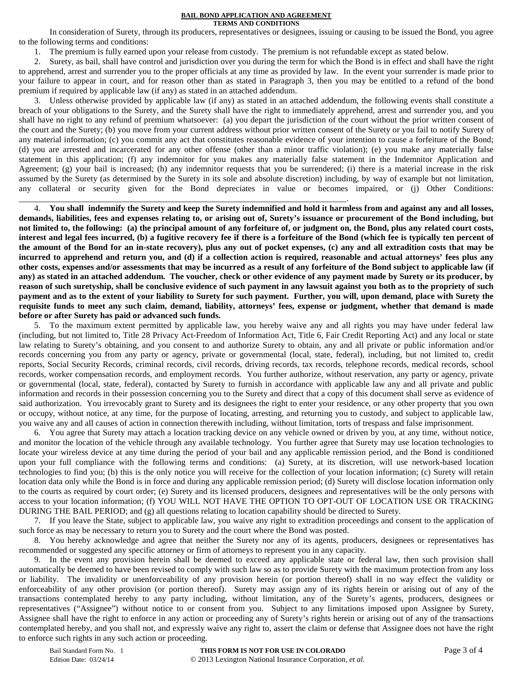#### **BAIL BOND APPLICATION AND AGREEMENT TERMS AND CONDITIONS**

In consideration of Surety, through its producers, representatives or designees, issuing or causing to be issued the Bond, you agree to the following terms and conditions:

1. The premium is fully earned upon your release from custody. The premium is not refundable except as stated below.

2. Surety, as bail, shall have control and jurisdiction over you during the term for which the Bond is in effect and shall have the right to apprehend, arrest and surrender you to the proper officials at any time as provided by law. In the event your surrender is made prior to your failure to appear in court, and for reason other than as stated in Paragraph 3, then you may be entitled to a refund of the bond premium if required by applicable law (if any) as stated in an attached addendum.

3. Unless otherwise provided by applicable law (if any) as stated in an attached addendum, the following events shall constitute a breach of your obligations to the Surety, and the Surety shall have the right to immediately apprehend, arrest and surrender you, and you shall have no right to any refund of premium whatsoever: (a) you depart the jurisdiction of the court without the prior written consent of the court and the Surety; (b) you move from your current address without prior written consent of the Surety or you fail to notify Surety of any material information; (c) you commit any act that constitutes reasonable evidence of your intention to cause a forfeiture of the Bond; (d) you are arrested and incarcerated for any other offense (other than a minor traffic violation); (e) you make any materially false statement in this application; (f) any indemnitor for you makes any materially false statement in the Indemnitor Application and Agreement; (g) your bail is increased; (h) any indemnitor requests that you be surrendered; (i) there is a material increase in the risk assumed by the Surety (as determined by the Surety in its sole and absolute discretion) including, by way of example but not limitation, any collateral or security given for the Bond depreciates in value or becomes impaired, or (j) Other Conditions:

\_\_\_\_\_\_\_\_\_\_\_\_\_\_\_\_\_\_\_\_\_\_\_\_\_\_\_\_\_\_\_\_\_\_\_\_\_\_\_\_\_\_\_\_\_\_\_\_\_\_\_\_\_\_\_\_\_\_\_\_\_\_\_\_\_\_\_\_\_\_\_\_\_\_\_\_\_.

4. **You shall indemnify the Surety and keep the Surety indemnified and hold it harmless from and against any and all losses, demands, liabilities, fees and expenses relating to, or arising out of, Surety's issuance or procurement of the Bond including, but not limited to, the following: (a) the principal amount of any forfeiture of, or judgment on, the Bond, plus any related court costs, interest and legal fees incurred, (b) a fugitive recovery fee if there is a forfeiture of the Bond (which fee is typically ten percent of the amount of the Bond for an in-state recovery), plus any out of pocket expenses, (c) any and all extradition costs that may be incurred to apprehend and return you, and (d) if a collection action is required, reasonable and actual attorneys' fees plus any other costs, expenses and/or assessments that may be incurred as a result of any forfeiture of the Bond subject to applicable law (if any) as stated in an attached addendum. The voucher, check or other evidence of any payment made by Surety or its producer, by reason of such suretyship, shall be conclusive evidence of such payment in any lawsuit against you both as to the propriety of such payment and as to the extent of your liability to Surety for such payment. Further, you will, upon demand, place with Surety the requisite funds to meet any such claim, demand, liability, attorneys' fees, expense or judgment, whether that demand is made before or after Surety has paid or advanced such funds.**

5. To the maximum extent permitted by applicable law, you hereby waive any and all rights you may have under federal law (including, but not limited to, Title 28 Privacy Act-Freedom of Information Act, Title 6, Fair Credit Reporting Act) and any local or state law relating to Surety's obtaining, and you consent to and authorize Surety to obtain, any and all private or public information and/or records concerning you from any party or agency, private or governmental (local, state, federal), including, but not limited to, credit reports, Social Security Records, criminal records, civil records, driving records, tax records, telephone records, medical records, school records, worker compensation records, and employment records. You further authorize, without reservation, any party or agency, private or governmental (local, state, federal), contacted by Surety to furnish in accordance with applicable law any and all private and public information and records in their possession concerning you to the Surety and direct that a copy of this document shall serve as evidence of said authorization.You irrevocably grant to Surety and its designees the right to enter your residence, or any other property that you own or occupy, without notice, at any time, for the purpose of locating, arresting, and returning you to custody, and subject to applicable law, you waive any and all causes of action in connection therewith including, without limitation, torts of trespass and false imprisonment.

6. You agree that Surety may attach a location tracking device on any vehicle owned or driven by you, at any time, without notice, and monitor the location of the vehicle through any available technology. You further agree that Surety may use location technologies to locate your wireless device at any time during the period of your bail and any applicable remission period, and the Bond is conditioned upon your full compliance with the following terms and conditions: (a) Surety, at its discretion, will use network-based location technologies to find you; (b) this is the only notice you will receive for the collection of your location information; (c) Surety will retain location data only while the Bond is in force and during any applicable remission period; (d) Surety will disclose location information only to the courts as required by court order; (e) Surety and its licensed producers, designees and representatives will be the only persons with access to your location information; (f) YOU WILL NOT HAVE THE OPTION TO OPT-OUT OF LOCATION USE OR TRACKING DURING THE BAIL PERIOD; and (g) all questions relating to location capability should be directed to Surety.

7. If you leave the State, subject to applicable law, you waive any right to extradition proceedings and consent to the application of such force as may be necessary to return you to Surety and the court where the Bond was posted.

8. You hereby acknowledge and agree that neither the Surety nor any of its agents, producers, designees or representatives has recommended or suggested any specific attorney or firm of attorneys to represent you in any capacity.

9. In the event any provision herein shall be deemed to exceed any applicable state or federal law, then such provision shall automatically be deemed to have been revised to comply with such law so as to provide Surety with the maximum protection from any loss or liability. The invalidity or unenforceability of any provision herein (or portion thereof) shall in no way effect the validity or enforceability of any other provision (or portion thereof). Surety may assign any of its rights herein or arising out of any of the transactions contemplated hereby to any party including, without limitation, any of the Surety's agents, producers, designees or representatives ("Assignee") without notice to or consent from you. Subject to any limitations imposed upon Assignee by Surety, Assignee shall have the right to enforce in any action or proceeding any of Surety's rights herein or arising out of any of the transactions contemplated hereby, and you shall not, and expressly waive any right to, assert the claim or defense that Assignee does not have the right to enforce such rights in any such action or proceeding.